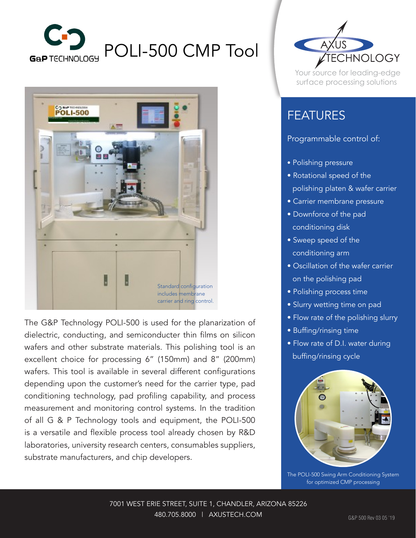



The G&P Technology POLI-500 is used for the planarization of dielectric, conducting, and semiconducter thin films on silicon wafers and other substrate materials. This polishing tool is an excellent choice for processing 6" (150mm) and 8" (200mm) wafers. This tool is available in several different configurations depending upon the customer's need for the carrier type, pad conditioning technology, pad profiling capability, and process measurement and monitoring control systems. In the tradition of all G & P Technology tools and equipment, the POLI-500 is a versatile and flexible process tool already chosen by R&D laboratories, university research centers, consumables suppliers, substrate manufacturers, and chip developers.



Your source for leading-edge surface processing solutions

## FEATURES

## Programmable control of:

- Polishing pressure
- Rotational speed of the polishing platen & wafer carrier
- Carrier membrane pressure
- Downforce of the pad conditioning disk
- Sweep speed of the conditioning arm
- Oscillation of the wafer carrier on the polishing pad
- Polishing process time
- Slurry wetting time on pad
- Flow rate of the polishing slurry
- Buffing/rinsing time
- Flow rate of D.I. water during buffing/rinsing cycle



The POLI-500 Swing Arm Conditioning System for optimized CMP processing